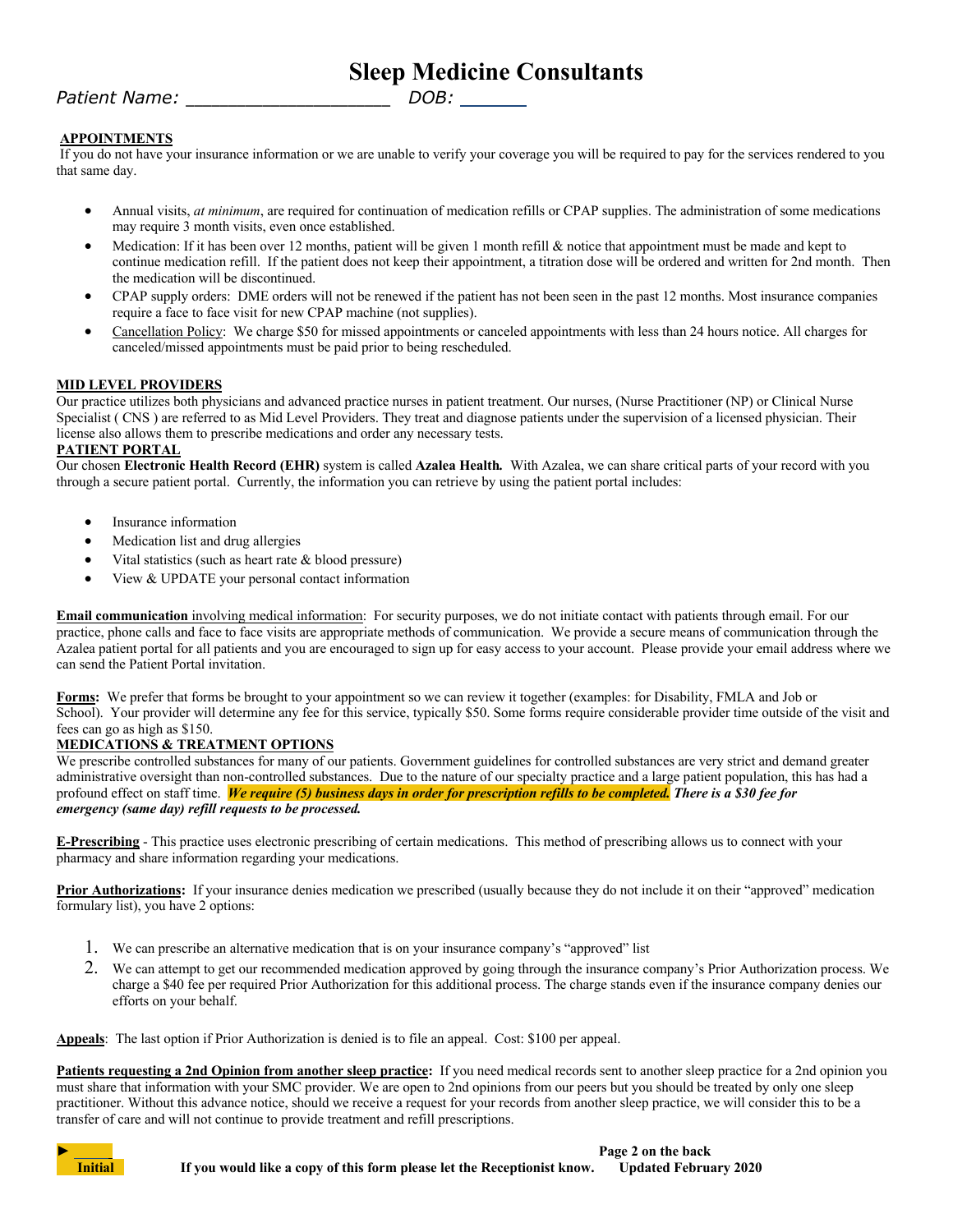# **Sleep Medicine Consultants**

## *Patient Name:* \_\_\_\_\_\_\_\_\_\_\_\_\_\_\_\_\_\_\_\_\_\_\_\_ *DOB:*

### **APPOINTMENTS**

If you do not have your insurance information or we are unable to verify your coverage you will be required to pay for the services rendered to you that same day.

- Annual visits, *at minimum*, are required for continuation of medication refills or CPAP supplies. The administration of some medications may require 3 month visits, even once established.
- Medication: If it has been over 12 months, patient will be given 1 month refill & notice that appointment must be made and kept to continue medication refill. If the patient does not keep their appointment, a titration dose will be ordered and written for 2nd month. Then the medication will be discontinued.
- CPAP supply orders: DME orders will not be renewed if the patient has not been seen in the past 12 months. Most insurance companies require a face to face visit for new CPAP machine (not supplies).
- Cancellation Policy: We charge \$50 for missed appointments or canceled appointments with less than 24 hours notice. All charges for canceled/missed appointments must be paid prior to being rescheduled.

#### **MID LEVEL PROVIDERS**

Our practice utilizes both physicians and advanced practice nurses in patient treatment. Our nurses, (Nurse Practitioner (NP) or Clinical Nurse Specialist ( CNS ) are referred to as Mid Level Providers. They treat and diagnose patients under the supervision of a licensed physician. Their license also allows them to prescribe medications and order any necessary tests.

#### **PATIENT PORTAL**

Our chosen **Electronic Health Record (EHR)** system is called **Azalea Health***.* With Azalea, we can share critical parts of your record with you through a secure patient portal. Currently, the information you can retrieve by using the patient portal includes:

- Insurance information
- Medication list and drug allergies
- Vital statistics (such as heart rate & blood pressure)
- View & UPDATE your personal contact information

**Email communication** involving medical information: For security purposes, we do not initiate contact with patients through email. For our practice, phone calls and face to face visits are appropriate methods of communication. We provide a secure means of communication through the Azalea patient portal for all patients and you are encouraged to sign up for easy access to your account. Please provide your email address where we can send the Patient Portal invitation.

**Forms:** We prefer that forms be brought to your appointment so we can review it together (examples: for Disability, FMLA and Job or School). Your provider will determine any fee for this service, typically \$50. Some forms require considerable provider time outside of the visit and fees can go as high as \$150.

#### **MEDICATIONS & TREATMENT OPTIONS**

We prescribe controlled substances for many of our patients. Government guidelines for controlled substances are very strict and demand greater administrative oversight than non-controlled substances. Due to the nature of our specialty practice and a large patient population, this has had a profound effect on staff time. *We require (5) business days in order for prescription refills to be completed. There is a \$30 fee for emergency (same day) refill requests to be processed.*

**E-Prescribing** - This practice uses electronic prescribing of certain medications. This method of prescribing allows us to connect with your pharmacy and share information regarding your medications.

Prior Authorizations: If your insurance denies medication we prescribed (usually because they do not include it on their "approved" medication formulary list), you have 2 options:

- 1. We can prescribe an alternative medication that is on your insurance company's "approved" list
- 2. We can attempt to get our recommended medication approved by going through the insurance company's Prior Authorization process. We charge a \$40 fee per required Prior Authorization for this additional process. The charge stands even if the insurance company denies our efforts on your behalf.

**Appeals**: The last option if Prior Authorization is denied is to file an appeal. Cost: \$100 per appeal.

**Patients requesting a 2nd Opinion from another sleep practice:** If you need medical records sent to another sleep practice for a 2nd opinion you must share that information with your SMC provider. We are open to 2nd opinions from our peers but you should be treated by only one sleep practitioner. Without this advance notice, should we receive a request for your records from another sleep practice, we will consider this to be a transfer of care and will not continue to provide treatment and refill prescriptions.